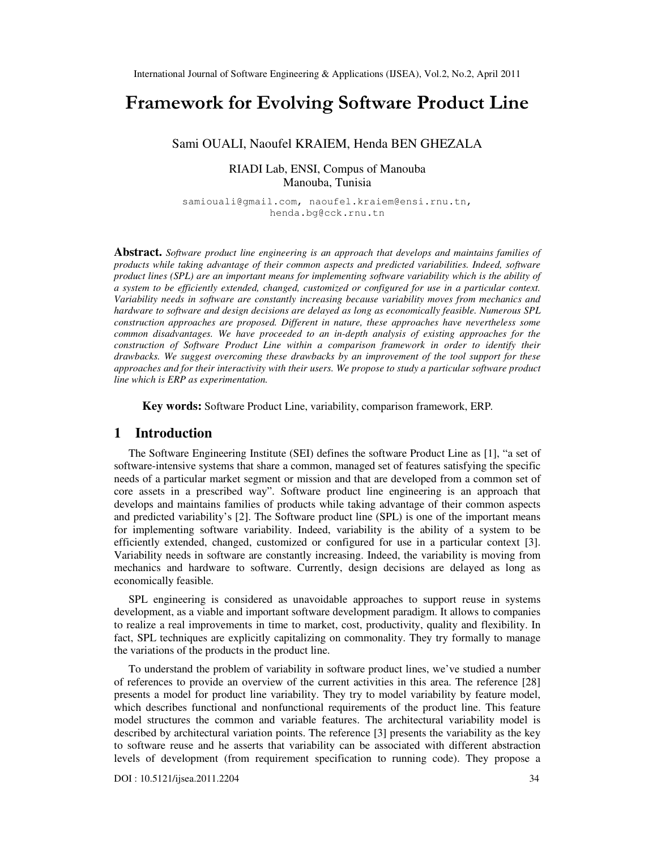# Framework for Evolving Software Product Line

Sami OUALI, Naoufel KRAIEM, Henda BEN GHEZALA

RIADI Lab, ENSI, Compus of Manouba Manouba, Tunisia

samiouali@gmail.com, naoufel.kraiem@ensi.rnu.tn, henda.bg@cck.rnu.tn

**Abstract.** *Software product line engineering is an approach that develops and maintains families of products while taking advantage of their common aspects and predicted variabilities. Indeed, software product lines (SPL) are an important means for implementing software variability which is the ability of a system to be efficiently extended, changed, customized or configured for use in a particular context. Variability needs in software are constantly increasing because variability moves from mechanics and hardware to software and design decisions are delayed as long as economically feasible. Numerous SPL construction approaches are proposed. Different in nature, these approaches have nevertheless some common disadvantages. We have proceeded to an in-depth analysis of existing approaches for the construction of Software Product Line within a comparison framework in order to identify their drawbacks. We suggest overcoming these drawbacks by an improvement of the tool support for these approaches and for their interactivity with their users. We propose to study a particular software product line which is ERP as experimentation.* 

**Key words:** Software Product Line, variability, comparison framework, ERP*.*

# **1 Introduction**

The Software Engineering Institute (SEI) defines the software Product Line as [1], "a set of software-intensive systems that share a common, managed set of features satisfying the specific needs of a particular market segment or mission and that are developed from a common set of core assets in a prescribed way". Software product line engineering is an approach that develops and maintains families of products while taking advantage of their common aspects and predicted variability's [2]. The Software product line (SPL) is one of the important means for implementing software variability. Indeed, variability is the ability of a system to be efficiently extended, changed, customized or configured for use in a particular context [3]. Variability needs in software are constantly increasing. Indeed, the variability is moving from mechanics and hardware to software. Currently, design decisions are delayed as long as economically feasible.

SPL engineering is considered as unavoidable approaches to support reuse in systems development, as a viable and important software development paradigm. It allows to companies to realize a real improvements in time to market, cost, productivity, quality and flexibility. In fact, SPL techniques are explicitly capitalizing on commonality. They try formally to manage the variations of the products in the product line.

To understand the problem of variability in software product lines, we've studied a number of references to provide an overview of the current activities in this area. The reference [28] presents a model for product line variability. They try to model variability by feature model, which describes functional and nonfunctional requirements of the product line. This feature model structures the common and variable features. The architectural variability model is described by architectural variation points. The reference [3] presents the variability as the key to software reuse and he asserts that variability can be associated with different abstraction levels of development (from requirement specification to running code). They propose a

DOI : 10.5121/ijsea.2011.2204 34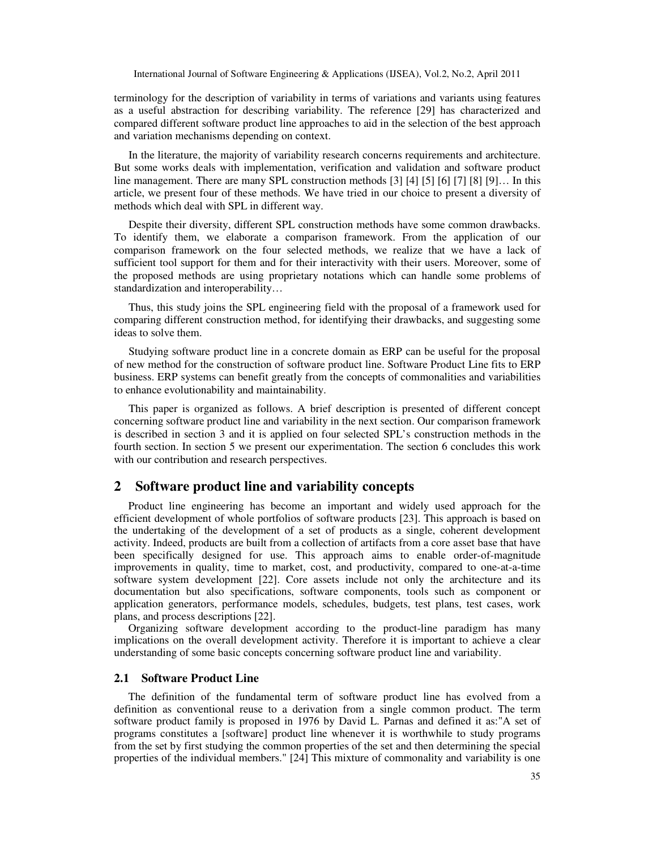terminology for the description of variability in terms of variations and variants using features as a useful abstraction for describing variability. The reference [29] has characterized and compared different software product line approaches to aid in the selection of the best approach and variation mechanisms depending on context.

In the literature, the majority of variability research concerns requirements and architecture. But some works deals with implementation, verification and validation and software product line management. There are many SPL construction methods [3] [4] [5] [6] [7] [8] [9]… In this article, we present four of these methods. We have tried in our choice to present a diversity of methods which deal with SPL in different way.

Despite their diversity, different SPL construction methods have some common drawbacks. To identify them, we elaborate a comparison framework. From the application of our comparison framework on the four selected methods, we realize that we have a lack of sufficient tool support for them and for their interactivity with their users. Moreover, some of the proposed methods are using proprietary notations which can handle some problems of standardization and interoperability…

Thus, this study joins the SPL engineering field with the proposal of a framework used for comparing different construction method, for identifying their drawbacks, and suggesting some ideas to solve them.

Studying software product line in a concrete domain as ERP can be useful for the proposal of new method for the construction of software product line. Software Product Line fits to ERP business. ERP systems can benefit greatly from the concepts of commonalities and variabilities to enhance evolutionability and maintainability.

This paper is organized as follows. A brief description is presented of different concept concerning software product line and variability in the next section. Our comparison framework is described in section 3 and it is applied on four selected SPL's construction methods in the fourth section. In section 5 we present our experimentation. The section 6 concludes this work with our contribution and research perspectives.

# **2 Software product line and variability concepts**

Product line engineering has become an important and widely used approach for the efficient development of whole portfolios of software products [23]. This approach is based on the undertaking of the development of a set of products as a single, coherent development activity. Indeed, products are built from a collection of artifacts from a core asset base that have been specifically designed for use. This approach aims to enable order-of-magnitude improvements in quality, time to market, cost, and productivity, compared to one-at-a-time software system development [22]. Core assets include not only the architecture and its documentation but also specifications, software components, tools such as component or application generators, performance models, schedules, budgets, test plans, test cases, work plans, and process descriptions [22].

Organizing software development according to the product-line paradigm has many implications on the overall development activity. Therefore it is important to achieve a clear understanding of some basic concepts concerning software product line and variability.

# **2.1 Software Product Line**

The definition of the fundamental term of software product line has evolved from a definition as conventional reuse to a derivation from a single common product. The term software product family is proposed in 1976 by David L. Parnas and defined it as:"A set of programs constitutes a [software] product line whenever it is worthwhile to study programs from the set by first studying the common properties of the set and then determining the special properties of the individual members." [24] This mixture of commonality and variability is one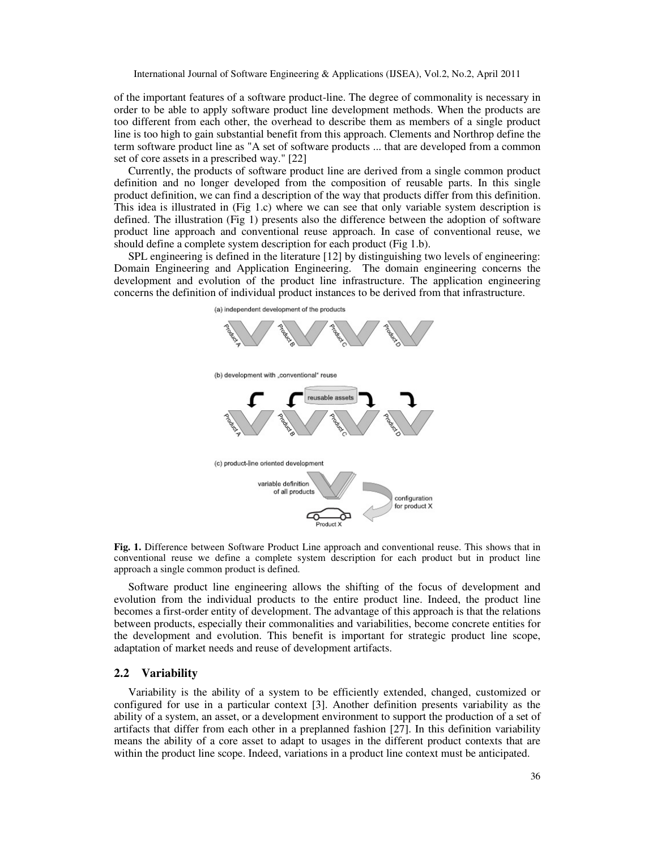of the important features of a software product-line. The degree of commonality is necessary in order to be able to apply software product line development methods. When the products are too different from each other, the overhead to describe them as members of a single product line is too high to gain substantial benefit from this approach. Clements and Northrop define the term software product line as "A set of software products ... that are developed from a common set of core assets in a prescribed way." [22]

Currently, the products of software product line are derived from a single common product definition and no longer developed from the composition of reusable parts. In this single product definition, we can find a description of the way that products differ from this definition. This idea is illustrated in (Fig 1.c) where we can see that only variable system description is defined. The illustration (Fig 1) presents also the difference between the adoption of software product line approach and conventional reuse approach. In case of conventional reuse, we should define a complete system description for each product (Fig 1.b).

SPL engineering is defined in the literature [12] by distinguishing two levels of engineering: Domain Engineering and Application Engineering. The domain engineering concerns the development and evolution of the product line infrastructure. The application engineering concerns the definition of individual product instances to be derived from that infrastructure.



**Fig. 1.** Difference between Software Product Line approach and conventional reuse. This shows that in conventional reuse we define a complete system description for each product but in product line approach a single common product is defined.

Software product line engineering allows the shifting of the focus of development and evolution from the individual products to the entire product line. Indeed, the product line becomes a first-order entity of development. The advantage of this approach is that the relations between products, especially their commonalities and variabilities, become concrete entities for the development and evolution. This benefit is important for strategic product line scope, adaptation of market needs and reuse of development artifacts.

# **2.2 Variability**

Variability is the ability of a system to be efficiently extended, changed, customized or configured for use in a particular context [3]. Another definition presents variability as the ability of a system, an asset, or a development environment to support the production of a set of artifacts that differ from each other in a preplanned fashion [27]. In this definition variability means the ability of a core asset to adapt to usages in the different product contexts that are within the product line scope. Indeed, variations in a product line context must be anticipated.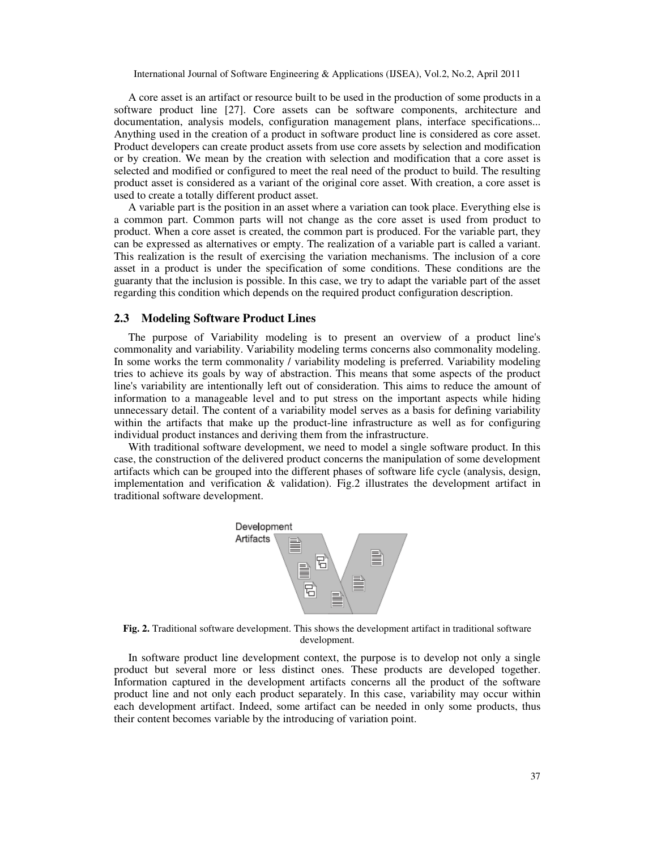A core asset is an artifact or resource built to be used in the production of some products in a software product line [27]. Core assets can be software components, architecture and documentation, analysis models, configuration management plans, interface specifications... Anything used in the creation of a product in software product line is considered as core asset. Product developers can create product assets from use core assets by selection and modification or by creation. We mean by the creation with selection and modification that a core asset is selected and modified or configured to meet the real need of the product to build. The resulting product asset is considered as a variant of the original core asset. With creation, a core asset is used to create a totally different product asset.

A variable part is the position in an asset where a variation can took place. Everything else is a common part. Common parts will not change as the core asset is used from product to product. When a core asset is created, the common part is produced. For the variable part, they can be expressed as alternatives or empty. The realization of a variable part is called a variant. This realization is the result of exercising the variation mechanisms. The inclusion of a core asset in a product is under the specification of some conditions. These conditions are the guaranty that the inclusion is possible. In this case, we try to adapt the variable part of the asset regarding this condition which depends on the required product configuration description.

# **2.3 Modeling Software Product Lines**

The purpose of Variability modeling is to present an overview of a product line's commonality and variability. Variability modeling terms concerns also commonality modeling. In some works the term commonality / variability modeling is preferred. Variability modeling tries to achieve its goals by way of abstraction. This means that some aspects of the product line's variability are intentionally left out of consideration. This aims to reduce the amount of information to a manageable level and to put stress on the important aspects while hiding unnecessary detail. The content of a variability model serves as a basis for defining variability within the artifacts that make up the product-line infrastructure as well as for configuring individual product instances and deriving them from the infrastructure.

With traditional software development, we need to model a single software product. In this case, the construction of the delivered product concerns the manipulation of some development artifacts which can be grouped into the different phases of software life cycle (analysis, design, implementation and verification  $\&$  validation). Fig.2 illustrates the development artifact in traditional software development.



**Fig. 2.** Traditional software development. This shows the development artifact in traditional software development.

In software product line development context, the purpose is to develop not only a single product but several more or less distinct ones. These products are developed together. Information captured in the development artifacts concerns all the product of the software product line and not only each product separately. In this case, variability may occur within each development artifact. Indeed, some artifact can be needed in only some products, thus their content becomes variable by the introducing of variation point.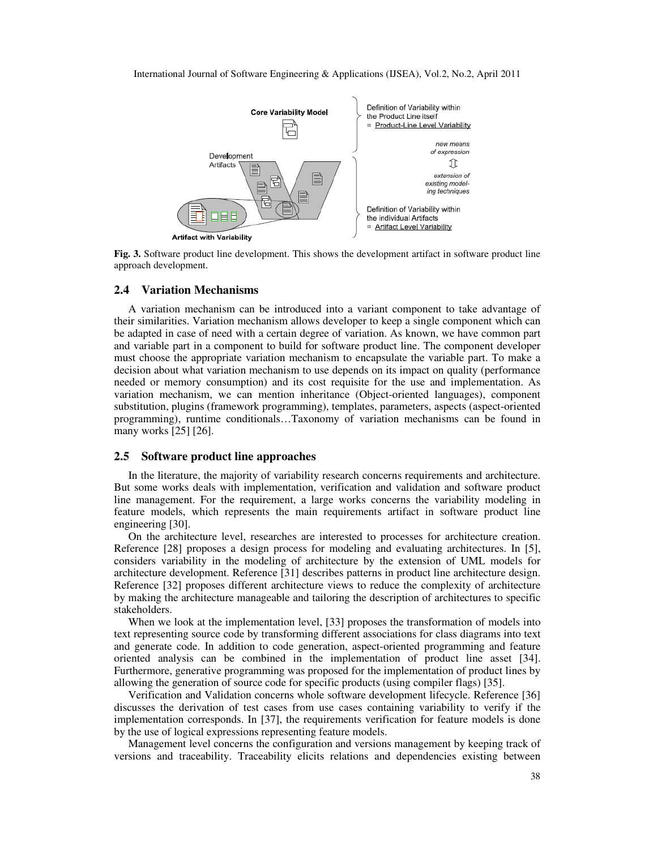

**Fig. 3.** Software product line development. This shows the development artifact in software product line approach development.

### **2.4 Variation Mechanisms**

A variation mechanism can be introduced into a variant component to take advantage of their similarities. Variation mechanism allows developer to keep a single component which can be adapted in case of need with a certain degree of variation. As known, we have common part and variable part in a component to build for software product line. The component developer must choose the appropriate variation mechanism to encapsulate the variable part. To make a decision about what variation mechanism to use depends on its impact on quality (performance needed or memory consumption) and its cost requisite for the use and implementation. As variation mechanism, we can mention inheritance (Object-oriented languages), component substitution, plugins (framework programming), templates, parameters, aspects (aspect-oriented programming), runtime conditionals…Taxonomy of variation mechanisms can be found in many works [25] [26].

#### **2.5 Software product line approaches**

In the literature, the majority of variability research concerns requirements and architecture. But some works deals with implementation, verification and validation and software product line management. For the requirement, a large works concerns the variability modeling in feature models, which represents the main requirements artifact in software product line engineering [30].

On the architecture level, researches are interested to processes for architecture creation. Reference [28] proposes a design process for modeling and evaluating architectures. In [5], considers variability in the modeling of architecture by the extension of UML models for architecture development. Reference [31] describes patterns in product line architecture design. Reference [32] proposes different architecture views to reduce the complexity of architecture by making the architecture manageable and tailoring the description of architectures to specific stakeholders.

When we look at the implementation level, [33] proposes the transformation of models into text representing source code by transforming different associations for class diagrams into text and generate code. In addition to code generation, aspect-oriented programming and feature oriented analysis can be combined in the implementation of product line asset [34]. Furthermore, generative programming was proposed for the implementation of product lines by allowing the generation of source code for specific products (using compiler flags) [35].

Verification and Validation concerns whole software development lifecycle. Reference [36] discusses the derivation of test cases from use cases containing variability to verify if the implementation corresponds. In [37], the requirements verification for feature models is done by the use of logical expressions representing feature models.

Management level concerns the configuration and versions management by keeping track of versions and traceability. Traceability elicits relations and dependencies existing between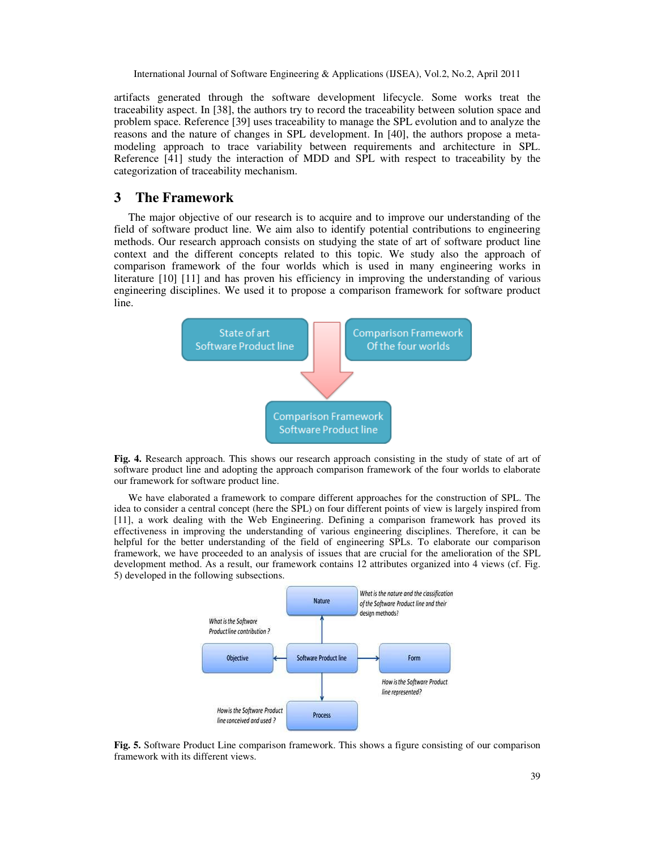artifacts generated through the software development lifecycle. Some works treat the traceability aspect. In [38], the authors try to record the traceability between solution space and problem space. Reference [39] uses traceability to manage the SPL evolution and to analyze the reasons and the nature of changes in SPL development. In [40], the authors propose a metamodeling approach to trace variability between requirements and architecture in SPL. Reference [41] study the interaction of MDD and SPL with respect to traceability by the categorization of traceability mechanism.

# **3 The Framework**

The major objective of our research is to acquire and to improve our understanding of the field of software product line. We aim also to identify potential contributions to engineering methods. Our research approach consists on studying the state of art of software product line context and the different concepts related to this topic. We study also the approach of comparison framework of the four worlds which is used in many engineering works in literature [10] [11] and has proven his efficiency in improving the understanding of various engineering disciplines. We used it to propose a comparison framework for software product line.



**Fig. 4.** Research approach. This shows our research approach consisting in the study of state of art of software product line and adopting the approach comparison framework of the four worlds to elaborate our framework for software product line.

We have elaborated a framework to compare different approaches for the construction of SPL. The idea to consider a central concept (here the SPL) on four different points of view is largely inspired from [11], a work dealing with the Web Engineering. Defining a comparison framework has proved its effectiveness in improving the understanding of various engineering disciplines. Therefore, it can be helpful for the better understanding of the field of engineering SPLs. To elaborate our comparison framework, we have proceeded to an analysis of issues that are crucial for the amelioration of the SPL development method. As a result, our framework contains 12 attributes organized into 4 views (cf. Fig. 5) developed in the following subsections.



**Fig. 5.** Software Product Line comparison framework. This shows a figure consisting of our comparison framework with its different views.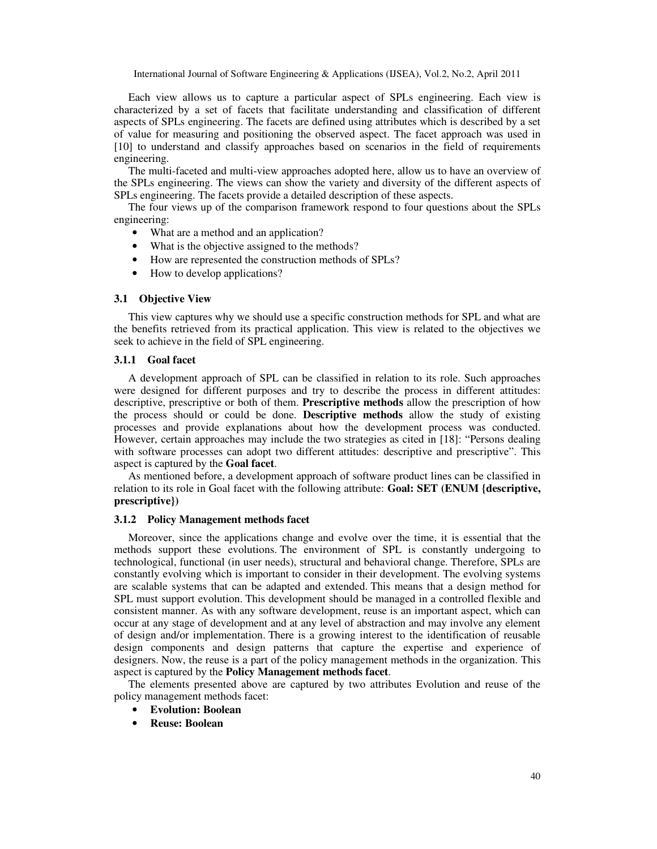Each view allows us to capture a particular aspect of SPLs engineering. Each view is characterized by a set of facets that facilitate understanding and classification of different aspects of SPLs engineering. The facets are defined using attributes which is described by a set of value for measuring and positioning the observed aspect. The facet approach was used in [10] to understand and classify approaches based on scenarios in the field of requirements engineering.

The multi-faceted and multi-view approaches adopted here, allow us to have an overview of the SPLs engineering. The views can show the variety and diversity of the different aspects of SPLs engineering. The facets provide a detailed description of these aspects.

The four views up of the comparison framework respond to four questions about the SPLs engineering:

- What are a method and an application?
- What is the objective assigned to the methods?
- How are represented the construction methods of SPLs?
- How to develop applications?

#### **3.1 Objective View**

This view captures why we should use a specific construction methods for SPL and what are the benefits retrieved from its practical application. This view is related to the objectives we seek to achieve in the field of SPL engineering.

### **3.1.1 Goal facet**

A development approach of SPL can be classified in relation to its role. Such approaches were designed for different purposes and try to describe the process in different attitudes: descriptive, prescriptive or both of them. **Prescriptive methods** allow the prescription of how the process should or could be done. **Descriptive methods** allow the study of existing processes and provide explanations about how the development process was conducted. However, certain approaches may include the two strategies as cited in [18]: "Persons dealing with software processes can adopt two different attitudes: descriptive and prescriptive". This aspect is captured by the **Goal facet**.

As mentioned before, a development approach of software product lines can be classified in relation to its role in Goal facet with the following attribute: **Goal: SET (ENUM {descriptive, prescriptive})**

#### **3.1.2 Policy Management methods facet**

Moreover, since the applications change and evolve over the time, it is essential that the methods support these evolutions. The environment of SPL is constantly undergoing to technological, functional (in user needs), structural and behavioral change. Therefore, SPLs are constantly evolving which is important to consider in their development. The evolving systems are scalable systems that can be adapted and extended. This means that a design method for SPL must support evolution. This development should be managed in a controlled flexible and consistent manner. As with any software development, reuse is an important aspect, which can occur at any stage of development and at any level of abstraction and may involve any element of design and/or implementation. There is a growing interest to the identification of reusable design components and design patterns that capture the expertise and experience of designers. Now, the reuse is a part of the policy management methods in the organization. This aspect is captured by the **Policy Management methods facet**.

The elements presented above are captured by two attributes Evolution and reuse of the policy management methods facet:

- **Evolution: Boolean**
- **Reuse: Boolean**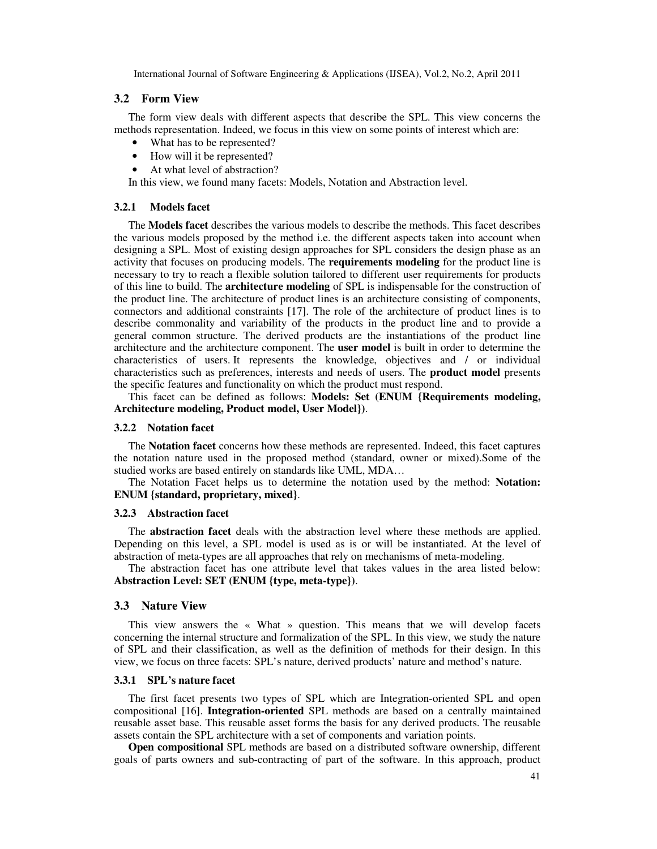### **3.2 Form View**

The form view deals with different aspects that describe the SPL. This view concerns the methods representation. Indeed, we focus in this view on some points of interest which are:

- What has to be represented?
- How will it be represented?
- At what level of abstraction?

In this view, we found many facets: Models, Notation and Abstraction level.

#### **3.2.1 Models facet**

The **Models facet** describes the various models to describe the methods. This facet describes the various models proposed by the method i.e. the different aspects taken into account when designing a SPL. Most of existing design approaches for SPL considers the design phase as an activity that focuses on producing models. The **requirements modeling** for the product line is necessary to try to reach a flexible solution tailored to different user requirements for products of this line to build. The **architecture modeling** of SPL is indispensable for the construction of the product line. The architecture of product lines is an architecture consisting of components, connectors and additional constraints [17]. The role of the architecture of product lines is to describe commonality and variability of the products in the product line and to provide a general common structure. The derived products are the instantiations of the product line architecture and the architecture component. The **user model** is built in order to determine the characteristics of users. It represents the knowledge, objectives and / or individual characteristics such as preferences, interests and needs of users. The **product model** presents the specific features and functionality on which the product must respond.

This facet can be defined as follows: **Models: Set (ENUM {Requirements modeling, Architecture modeling, Product model, User Model})**.

#### **3.2.2 Notation facet**

The **Notation facet** concerns how these methods are represented. Indeed, this facet captures the notation nature used in the proposed method (standard, owner or mixed).Some of the studied works are based entirely on standards like UML, MDA…

The Notation Facet helps us to determine the notation used by the method: **Notation: ENUM {standard, proprietary, mixed}**.

# **3.2.3 Abstraction facet**

The **abstraction facet** deals with the abstraction level where these methods are applied. Depending on this level, a SPL model is used as is or will be instantiated. At the level of abstraction of meta-types are all approaches that rely on mechanisms of meta-modeling.

The abstraction facet has one attribute level that takes values in the area listed below: **Abstraction Level: SET (ENUM {type, meta-type})**.

# **3.3 Nature View**

This view answers the « What » question. This means that we will develop facets concerning the internal structure and formalization of the SPL. In this view, we study the nature of SPL and their classification, as well as the definition of methods for their design. In this view, we focus on three facets: SPL's nature, derived products' nature and method's nature.

#### **3.3.1 SPL's nature facet**

The first facet presents two types of SPL which are Integration-oriented SPL and open compositional [16]. **Integration-oriented** SPL methods are based on a centrally maintained reusable asset base. This reusable asset forms the basis for any derived products. The reusable assets contain the SPL architecture with a set of components and variation points.

**Open compositional** SPL methods are based on a distributed software ownership, different goals of parts owners and sub-contracting of part of the software. In this approach, product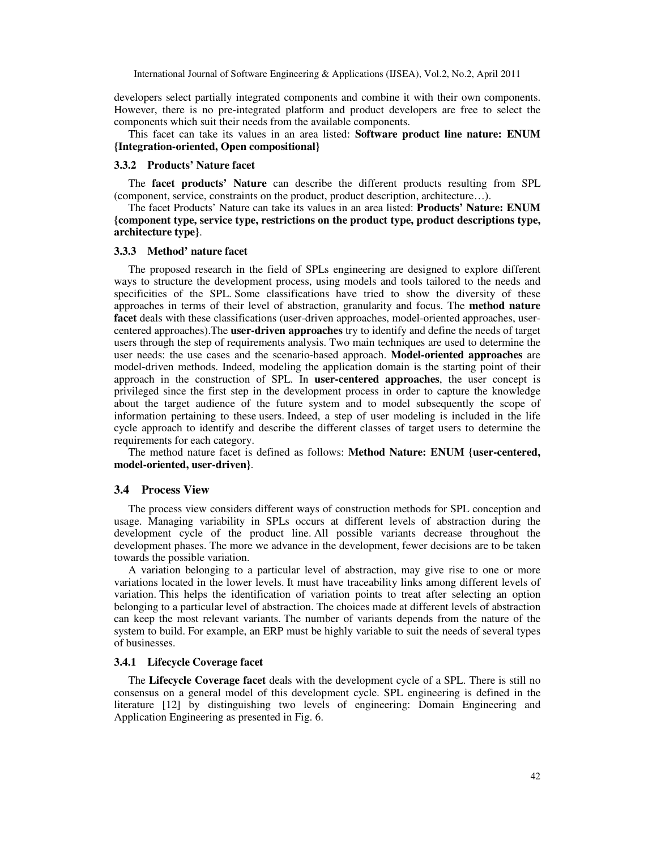developers select partially integrated components and combine it with their own components. However, there is no pre-integrated platform and product developers are free to select the components which suit their needs from the available components.

This facet can take its values in an area listed: **Software product line nature: ENUM {Integration-oriented, Open compositional}**

# **3.3.2 Products' Nature facet**

The **facet products' Nature** can describe the different products resulting from SPL (component, service, constraints on the product, product description, architecture…).

The facet Products' Nature can take its values in an area listed: **Products' Nature: ENUM {component type, service type, restrictions on the product type, product descriptions type, architecture type}**.

#### **3.3.3 Method' nature facet**

The proposed research in the field of SPLs engineering are designed to explore different ways to structure the development process, using models and tools tailored to the needs and specificities of the SPL. Some classifications have tried to show the diversity of these approaches in terms of their level of abstraction, granularity and focus. The **method nature facet** deals with these classifications (user-driven approaches, model-oriented approaches, usercentered approaches).The **user-driven approaches** try to identify and define the needs of target users through the step of requirements analysis. Two main techniques are used to determine the user needs: the use cases and the scenario-based approach. **Model-oriented approaches** are model-driven methods. Indeed, modeling the application domain is the starting point of their approach in the construction of SPL. In **user-centered approaches**, the user concept is privileged since the first step in the development process in order to capture the knowledge about the target audience of the future system and to model subsequently the scope of information pertaining to these users. Indeed, a step of user modeling is included in the life cycle approach to identify and describe the different classes of target users to determine the requirements for each category.

The method nature facet is defined as follows: **Method Nature: ENUM {user-centered, model-oriented, user-driven}**.

#### **3.4 Process View**

The process view considers different ways of construction methods for SPL conception and usage. Managing variability in SPLs occurs at different levels of abstraction during the development cycle of the product line. All possible variants decrease throughout the development phases. The more we advance in the development, fewer decisions are to be taken towards the possible variation.

A variation belonging to a particular level of abstraction, may give rise to one or more variations located in the lower levels. It must have traceability links among different levels of variation. This helps the identification of variation points to treat after selecting an option belonging to a particular level of abstraction. The choices made at different levels of abstraction can keep the most relevant variants. The number of variants depends from the nature of the system to build. For example, an ERP must be highly variable to suit the needs of several types of businesses.

#### **3.4.1 Lifecycle Coverage facet**

The **Lifecycle Coverage facet** deals with the development cycle of a SPL. There is still no consensus on a general model of this development cycle. SPL engineering is defined in the literature [12] by distinguishing two levels of engineering: Domain Engineering and Application Engineering as presented in Fig. 6.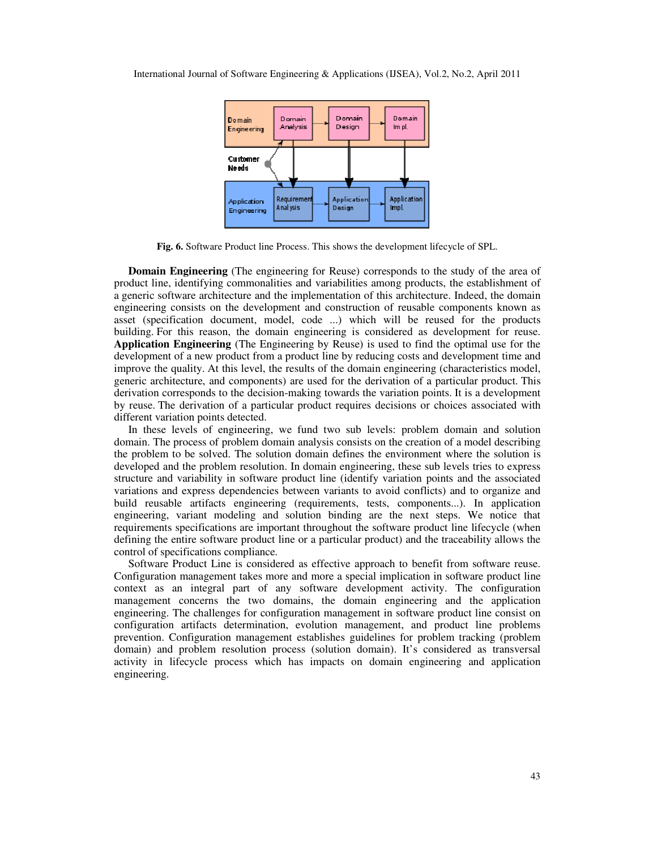

**Fig. 6.** Software Product line Process. This shows the development lifecycle of SPL.

**Domain Engineering** (The engineering for Reuse) corresponds to the study of the area of product line, identifying commonalities and variabilities among products, the establishment of a generic software architecture and the implementation of this architecture. Indeed, the domain engineering consists on the development and construction of reusable components known as asset (specification document, model, code ...) which will be reused for the products building. For this reason, the domain engineering is considered as development for reuse. **Application Engineering** (The Engineering by Reuse) is used to find the optimal use for the development of a new product from a product line by reducing costs and development time and improve the quality. At this level, the results of the domain engineering (characteristics model, generic architecture, and components) are used for the derivation of a particular product. This derivation corresponds to the decision-making towards the variation points. It is a development by reuse. The derivation of a particular product requires decisions or choices associated with different variation points detected.

In these levels of engineering, we fund two sub levels: problem domain and solution domain. The process of problem domain analysis consists on the creation of a model describing the problem to be solved. The solution domain defines the environment where the solution is developed and the problem resolution. In domain engineering, these sub levels tries to express structure and variability in software product line (identify variation points and the associated variations and express dependencies between variants to avoid conflicts) and to organize and build reusable artifacts engineering (requirements, tests, components...). In application engineering, variant modeling and solution binding are the next steps. We notice that requirements specifications are important throughout the software product line lifecycle (when defining the entire software product line or a particular product) and the traceability allows the control of specifications compliance.

Software Product Line is considered as effective approach to benefit from software reuse. Configuration management takes more and more a special implication in software product line context as an integral part of any software development activity. The configuration management concerns the two domains, the domain engineering and the application engineering. The challenges for configuration management in software product line consist on configuration artifacts determination, evolution management, and product line problems prevention. Configuration management establishes guidelines for problem tracking (problem domain) and problem resolution process (solution domain). It's considered as transversal activity in lifecycle process which has impacts on domain engineering and application engineering.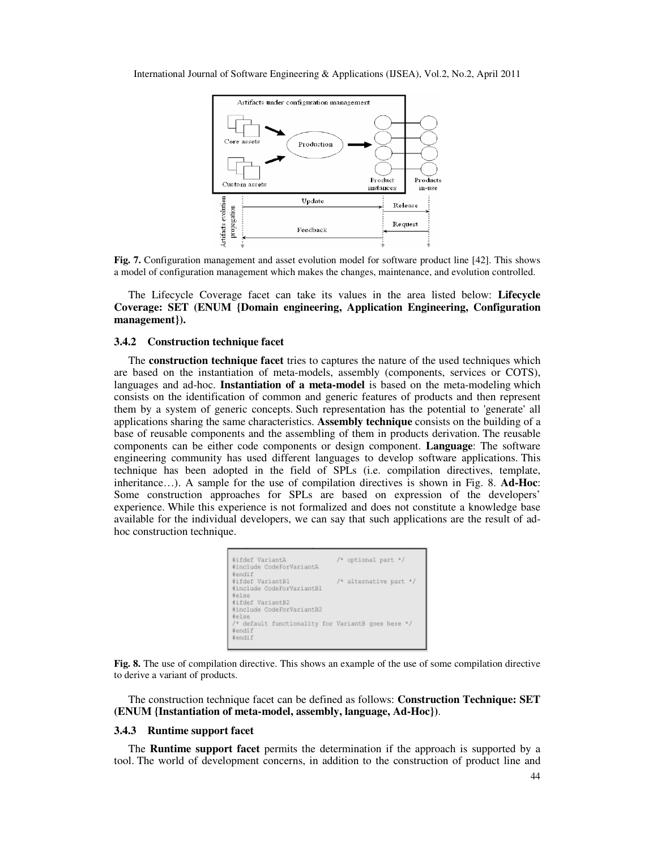

**Fig. 7.** Configuration management and asset evolution model for software product line [42]. This shows a model of configuration management which makes the changes, maintenance, and evolution controlled.

The Lifecycle Coverage facet can take its values in the area listed below: **Lifecycle Coverage: SET (ENUM {Domain engineering, Application Engineering, Configuration management}).**

#### **3.4.2 Construction technique facet**

The **construction technique facet** tries to captures the nature of the used techniques which are based on the instantiation of meta-models, assembly (components, services or COTS), languages and ad-hoc. **Instantiation of a meta-model** is based on the meta-modeling which consists on the identification of common and generic features of products and then represent them by a system of generic concepts. Such representation has the potential to 'generate' all applications sharing the same characteristics. **Assembly technique** consists on the building of a base of reusable components and the assembling of them in products derivation. The reusable components can be either code components or design component. **Language**: The software engineering community has used different languages to develop software applications. This technique has been adopted in the field of SPLs (i.e. compilation directives, template, inheritance…). A sample for the use of compilation directives is shown in Fig. 8. **Ad-Hoc**: Some construction approaches for SPLs are based on expression of the developers' experience. While this experience is not formalized and does not constitute a knowledge base available for the individual developers, we can say that such applications are the result of adhoc construction technique.

| #ifdef VariantA<br>#include CodeForVariantA<br>#endif                  | /* optional part */    |
|------------------------------------------------------------------------|------------------------|
| #ifdef VariantBl<br>#include CodeForVariantB1                          | /* alternative part */ |
| #else<br>#ifdef VariantB2<br>#include CodeForVariantB2<br>#else        |                        |
| /* default functionality for VariantB goes here */<br>#endif<br>#endif |                        |

**Fig. 8.** The use of compilation directive. This shows an example of the use of some compilation directive to derive a variant of products.

The construction technique facet can be defined as follows: **Construction Technique: SET (ENUM {Instantiation of meta-model, assembly, language, Ad-Hoc})**.

### **3.4.3 Runtime support facet**

The **Runtime support facet** permits the determination if the approach is supported by a tool. The world of development concerns, in addition to the construction of product line and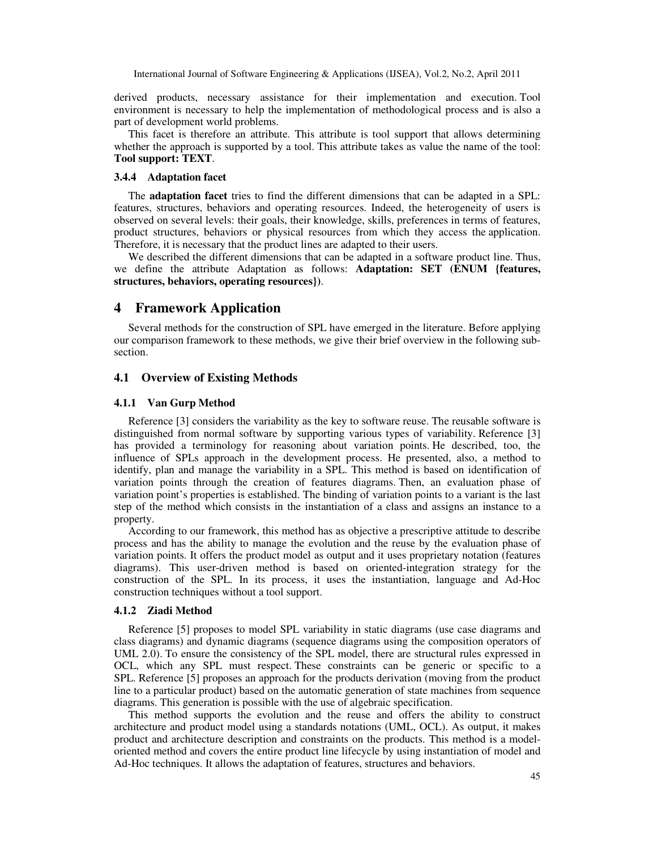derived products, necessary assistance for their implementation and execution. Tool environment is necessary to help the implementation of methodological process and is also a part of development world problems.

This facet is therefore an attribute. This attribute is tool support that allows determining whether the approach is supported by a tool. This attribute takes as value the name of the tool: **Tool support: TEXT**.

### **3.4.4 Adaptation facet**

The **adaptation facet** tries to find the different dimensions that can be adapted in a SPL: features, structures, behaviors and operating resources. Indeed, the heterogeneity of users is observed on several levels: their goals, their knowledge, skills, preferences in terms of features, product structures, behaviors or physical resources from which they access the application. Therefore, it is necessary that the product lines are adapted to their users.

We described the different dimensions that can be adapted in a software product line. Thus, we define the attribute Adaptation as follows: **Adaptation: SET (ENUM {features, structures, behaviors, operating resources})**.

# **4 Framework Application**

Several methods for the construction of SPL have emerged in the literature. Before applying our comparison framework to these methods, we give their brief overview in the following subsection.

# **4.1 Overview of Existing Methods**

#### **4.1.1 Van Gurp Method**

Reference [3] considers the variability as the key to software reuse. The reusable software is distinguished from normal software by supporting various types of variability. Reference [3] has provided a terminology for reasoning about variation points. He described, too, the influence of SPLs approach in the development process. He presented, also, a method to identify, plan and manage the variability in a SPL. This method is based on identification of variation points through the creation of features diagrams. Then, an evaluation phase of variation point's properties is established. The binding of variation points to a variant is the last step of the method which consists in the instantiation of a class and assigns an instance to a property.

According to our framework, this method has as objective a prescriptive attitude to describe process and has the ability to manage the evolution and the reuse by the evaluation phase of variation points. It offers the product model as output and it uses proprietary notation (features diagrams). This user-driven method is based on oriented-integration strategy for the construction of the SPL. In its process, it uses the instantiation, language and Ad-Hoc construction techniques without a tool support.

#### **4.1.2 Ziadi Method**

Reference [5] proposes to model SPL variability in static diagrams (use case diagrams and class diagrams) and dynamic diagrams (sequence diagrams using the composition operators of UML 2.0). To ensure the consistency of the SPL model, there are structural rules expressed in OCL, which any SPL must respect. These constraints can be generic or specific to a SPL. Reference [5] proposes an approach for the products derivation (moving from the product line to a particular product) based on the automatic generation of state machines from sequence diagrams. This generation is possible with the use of algebraic specification.

This method supports the evolution and the reuse and offers the ability to construct architecture and product model using a standards notations (UML, OCL). As output, it makes product and architecture description and constraints on the products. This method is a modeloriented method and covers the entire product line lifecycle by using instantiation of model and Ad-Hoc techniques. It allows the adaptation of features, structures and behaviors.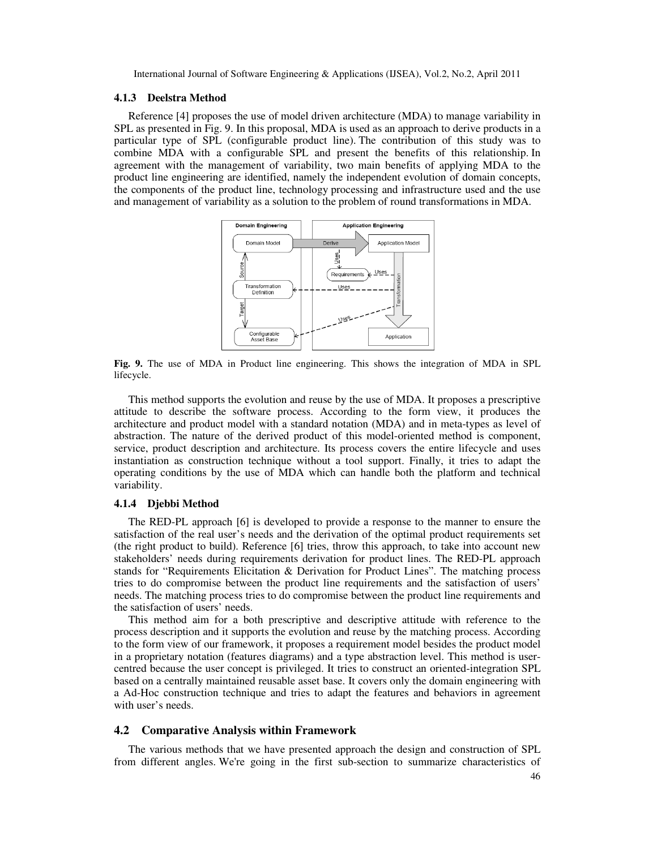#### **4.1.3 Deelstra Method**

Reference [4] proposes the use of model driven architecture (MDA) to manage variability in SPL as presented in Fig. 9. In this proposal, MDA is used as an approach to derive products in a particular type of SPL (configurable product line). The contribution of this study was to combine MDA with a configurable SPL and present the benefits of this relationship. In agreement with the management of variability, two main benefits of applying MDA to the product line engineering are identified, namely the independent evolution of domain concepts, the components of the product line, technology processing and infrastructure used and the use and management of variability as a solution to the problem of round transformations in MDA.



**Fig. 9.** The use of MDA in Product line engineering. This shows the integration of MDA in SPL lifecycle.

This method supports the evolution and reuse by the use of MDA. It proposes a prescriptive attitude to describe the software process. According to the form view, it produces the architecture and product model with a standard notation (MDA) and in meta-types as level of abstraction. The nature of the derived product of this model-oriented method is component, service, product description and architecture. Its process covers the entire lifecycle and uses instantiation as construction technique without a tool support. Finally, it tries to adapt the operating conditions by the use of MDA which can handle both the platform and technical variability.

#### **4.1.4 Djebbi Method**

The RED-PL approach [6] is developed to provide a response to the manner to ensure the satisfaction of the real user's needs and the derivation of the optimal product requirements set (the right product to build). Reference [6] tries, throw this approach, to take into account new stakeholders' needs during requirements derivation for product lines. The RED-PL approach stands for "Requirements Elicitation & Derivation for Product Lines". The matching process tries to do compromise between the product line requirements and the satisfaction of users' needs. The matching process tries to do compromise between the product line requirements and the satisfaction of users' needs.

This method aim for a both prescriptive and descriptive attitude with reference to the process description and it supports the evolution and reuse by the matching process. According to the form view of our framework, it proposes a requirement model besides the product model in a proprietary notation (features diagrams) and a type abstraction level. This method is usercentred because the user concept is privileged. It tries to construct an oriented-integration SPL based on a centrally maintained reusable asset base. It covers only the domain engineering with a Ad-Hoc construction technique and tries to adapt the features and behaviors in agreement with user's needs.

# **4.2 Comparative Analysis within Framework**

The various methods that we have presented approach the design and construction of SPL from different angles. We're going in the first sub-section to summarize characteristics of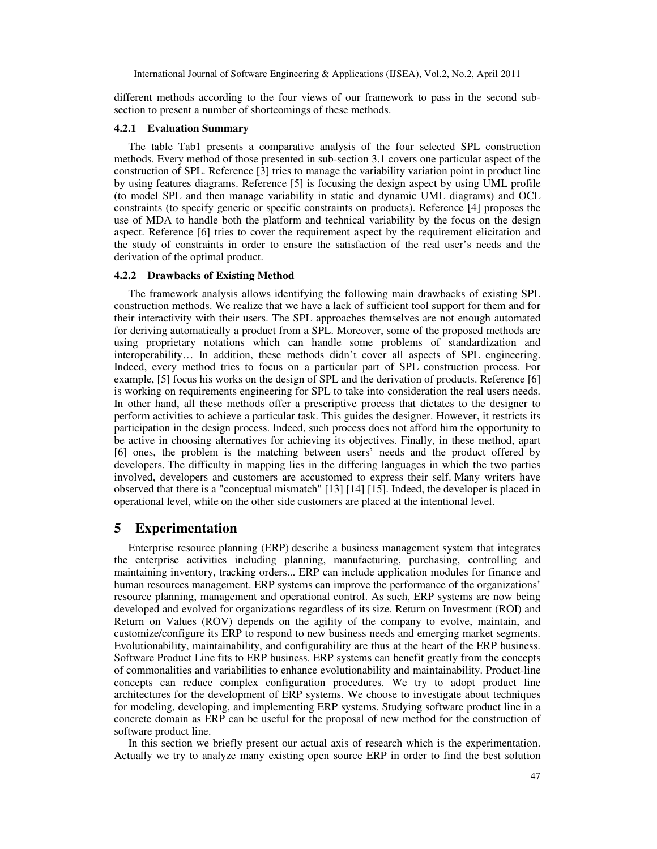different methods according to the four views of our framework to pass in the second subsection to present a number of shortcomings of these methods.

#### **4.2.1 Evaluation Summary**

The table Tab1 presents a comparative analysis of the four selected SPL construction methods. Every method of those presented in sub-section 3.1 covers one particular aspect of the construction of SPL. Reference [3] tries to manage the variability variation point in product line by using features diagrams. Reference [5] is focusing the design aspect by using UML profile (to model SPL and then manage variability in static and dynamic UML diagrams) and OCL constraints (to specify generic or specific constraints on products). Reference [4] proposes the use of MDA to handle both the platform and technical variability by the focus on the design aspect. Reference [6] tries to cover the requirement aspect by the requirement elicitation and the study of constraints in order to ensure the satisfaction of the real user's needs and the derivation of the optimal product.

#### **4.2.2 Drawbacks of Existing Method**

The framework analysis allows identifying the following main drawbacks of existing SPL construction methods. We realize that we have a lack of sufficient tool support for them and for their interactivity with their users. The SPL approaches themselves are not enough automated for deriving automatically a product from a SPL. Moreover, some of the proposed methods are using proprietary notations which can handle some problems of standardization and interoperability… In addition, these methods didn't cover all aspects of SPL engineering. Indeed, every method tries to focus on a particular part of SPL construction process. For example, [5] focus his works on the design of SPL and the derivation of products. Reference [6] is working on requirements engineering for SPL to take into consideration the real users needs. In other hand, all these methods offer a prescriptive process that dictates to the designer to perform activities to achieve a particular task. This guides the designer. However, it restricts its participation in the design process. Indeed, such process does not afford him the opportunity to be active in choosing alternatives for achieving its objectives. Finally, in these method, apart [6] ones, the problem is the matching between users' needs and the product offered by developers. The difficulty in mapping lies in the differing languages in which the two parties involved, developers and customers are accustomed to express their self. Many writers have observed that there is a "conceptual mismatch" [13] [14] [15]. Indeed, the developer is placed in operational level, while on the other side customers are placed at the intentional level.

# **5 Experimentation**

Enterprise resource planning (ERP) describe a business management system that integrates the enterprise activities including planning, manufacturing, purchasing, controlling and maintaining inventory, tracking orders... ERP can include application modules for finance and human resources management. ERP systems can improve the performance of the organizations' resource planning, management and operational control. As such, ERP systems are now being developed and evolved for organizations regardless of its size. Return on Investment (ROI) and Return on Values (ROV) depends on the agility of the company to evolve, maintain, and customize/configure its ERP to respond to new business needs and emerging market segments. Evolutionability, maintainability, and configurability are thus at the heart of the ERP business. Software Product Line fits to ERP business. ERP systems can benefit greatly from the concepts of commonalities and variabilities to enhance evolutionability and maintainability. Product-line concepts can reduce complex configuration procedures. We try to adopt product line architectures for the development of ERP systems. We choose to investigate about techniques for modeling, developing, and implementing ERP systems. Studying software product line in a concrete domain as ERP can be useful for the proposal of new method for the construction of software product line.

In this section we briefly present our actual axis of research which is the experimentation. Actually we try to analyze many existing open source ERP in order to find the best solution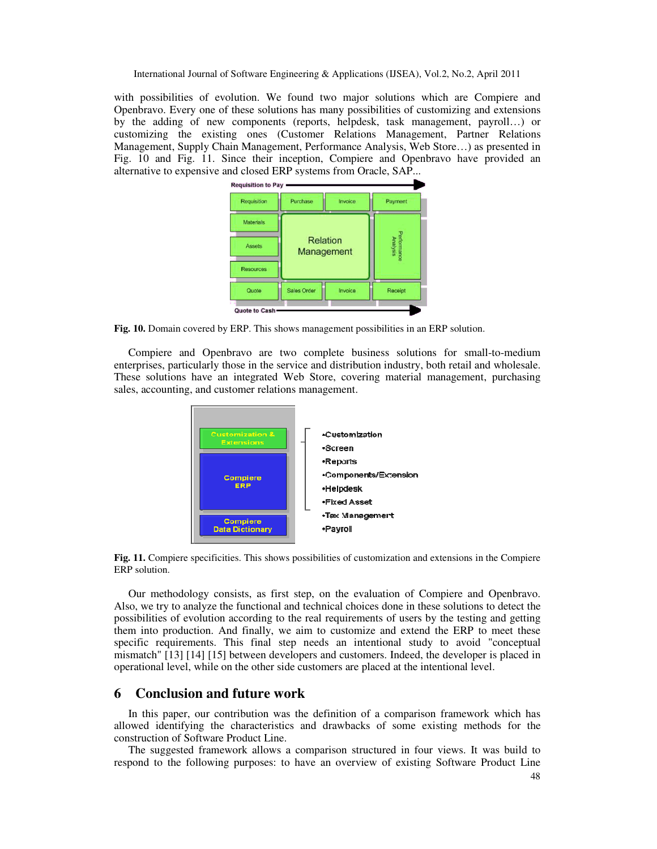with possibilities of evolution. We found two major solutions which are Compiere and Openbravo. Every one of these solutions has many possibilities of customizing and extensions by the adding of new components (reports, helpdesk, task management, payroll…) or customizing the existing ones (Customer Relations Management, Partner Relations Management, Supply Chain Management, Performance Analysis, Web Store…) as presented in Fig. 10 and Fig. 11. Since their inception, Compiere and Openbravo have provided an alternative to expensive and closed ERP systems from Oracle, SAP...



**Fig. 10.** Domain covered by ERP. This shows management possibilities in an ERP solution.

Compiere and Openbravo are two complete business solutions for small-to-medium enterprises, particularly those in the service and distribution industry, both retail and wholesale. These solutions have an integrated Web Store, covering material management, purchasing sales, accounting, and customer relations management.



**Fig. 11.** Compiere specificities. This shows possibilities of customization and extensions in the Compiere ERP solution.

Our methodology consists, as first step, on the evaluation of Compiere and Openbravo. Also, we try to analyze the functional and technical choices done in these solutions to detect the possibilities of evolution according to the real requirements of users by the testing and getting them into production. And finally, we aim to customize and extend the ERP to meet these specific requirements. This final step needs an intentional study to avoid "conceptual mismatch" [13] [14] [15] between developers and customers. Indeed, the developer is placed in operational level, while on the other side customers are placed at the intentional level.

# **6 Conclusion and future work**

In this paper, our contribution was the definition of a comparison framework which has allowed identifying the characteristics and drawbacks of some existing methods for the construction of Software Product Line.

The suggested framework allows a comparison structured in four views. It was build to respond to the following purposes: to have an overview of existing Software Product Line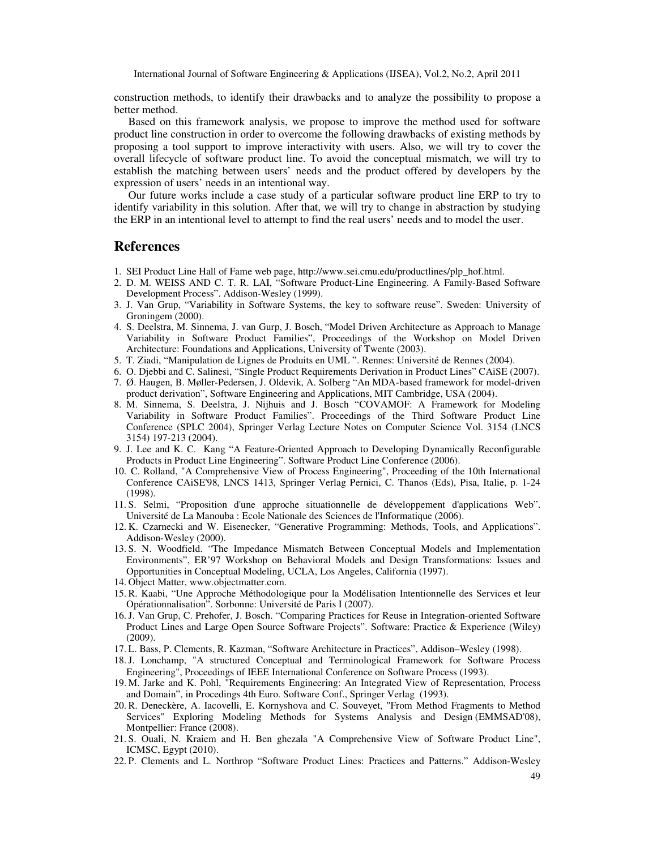construction methods, to identify their drawbacks and to analyze the possibility to propose a better method.

Based on this framework analysis, we propose to improve the method used for software product line construction in order to overcome the following drawbacks of existing methods by proposing a tool support to improve interactivity with users. Also, we will try to cover the overall lifecycle of software product line. To avoid the conceptual mismatch, we will try to establish the matching between users' needs and the product offered by developers by the expression of users' needs in an intentional way.

Our future works include a case study of a particular software product line ERP to try to identify variability in this solution. After that, we will try to change in abstraction by studying the ERP in an intentional level to attempt to find the real users' needs and to model the user.

# **References**

- 1. SEI Product Line Hall of Fame web page, http://www.sei.cmu.edu/productlines/plp\_hof.html.
- 2. D. M. WEISS AND C. T. R. LAI, "Software Product-Line Engineering. A Family-Based Software Development Process". Addison-Wesley (1999).
- 3. J. Van Grup, "Variability in Software Systems, the key to software reuse". Sweden: University of Groningem (2000).
- 4. S. Deelstra, M. Sinnema, J. van Gurp, J. Bosch, "Model Driven Architecture as Approach to Manage Variability in Software Product Families", Proceedings of the Workshop on Model Driven Architecture: Foundations and Applications, University of Twente (2003).
- 5. T. Ziadi, "Manipulation de Lignes de Produits en UML ". Rennes: Université de Rennes (2004).
- 6. O. Djebbi and C. Salinesi, "Single Product Requirements Derivation in Product Lines" CAiSE (2007).
- 7. Ø. Haugen, B. Møller-Pedersen, J. Oldevik, A. Solberg "An MDA-based framework for model-driven product derivation", Software Engineering and Applications, MIT Cambridge, USA (2004).
- 8. M. Sinnema, S. Deelstra, J. Nijhuis and J. Bosch "COVAMOF: A Framework for Modeling Variability in Software Product Families". Proceedings of the Third Software Product Line Conference (SPLC 2004), Springer Verlag Lecture Notes on Computer Science Vol. 3154 (LNCS 3154) 197-213 (2004).
- 9. J. Lee and K. C. Kang "A Feature-Oriented Approach to Developing Dynamically Reconfigurable Products in Product Line Engineering". Software Product Line Conference (2006).
- 10. C. Rolland, "A Comprehensive View of Process Engineering", Proceeding of the 10th International Conference CAiSE'98, LNCS 1413, Springer Verlag Pernici, C. Thanos (Eds), Pisa, Italie, p. 1-24 (1998).
- 11. S. Selmi, "Proposition d'une approche situationnelle de développement d'applications Web". Université de La Manouba : Ecole Nationale des Sciences de l'Informatique (2006).
- 12. K. Czarnecki and W. Eisenecker, "Generative Programming: Methods, Tools, and Applications". Addison-Wesley (2000).
- 13. S. N. Woodfield. "The Impedance Mismatch Between Conceptual Models and Implementation Environments", ER'97 Workshop on Behavioral Models and Design Transformations: Issues and Opportunities in Conceptual Modeling, UCLA, Los Angeles, California (1997).
- 14. Object Matter, www.objectmatter.com.
- 15. R. Kaabi, "Une Approche Méthodologique pour la Modélisation Intentionnelle des Services et leur Opérationnalisation". Sorbonne: Université de Paris I (2007).
- 16.J. Van Grup, C. Prehofer, J. Bosch. "Comparing Practices for Reuse in Integration-oriented Software Product Lines and Large Open Source Software Projects". Software: Practice & Experience (Wiley) (2009).
- 17. L. Bass, P. Clements, R. Kazman, "Software Architecture in Practices", Addison–Wesley (1998).
- 18.J. Lonchamp, "A structured Conceptual and Terminological Framework for Software Process Engineering", Proceedings of IEEE International Conference on Software Process (1993).
- 19. M. Jarke and K. Pohl, "Requirements Engineering: An Integrated View of Representation, Process and Domain", in Procedings 4th Euro. Software Conf., Springer Verlag (1993).
- 20. R. Deneckère, A. Iacovelli, E. Kornyshova and C. Souveyet, "From Method Fragments to Method Services" Exploring Modeling Methods for Systems Analysis and Design (EMMSAD'08), Montpellier: France (2008).
- 21. S. Ouali, N. Kraiem and H. Ben ghezala "A Comprehensive View of Software Product Line", ICMSC, Egypt (2010).
- 22. P. Clements and L. Northrop "Software Product Lines: Practices and Patterns." Addison-Wesley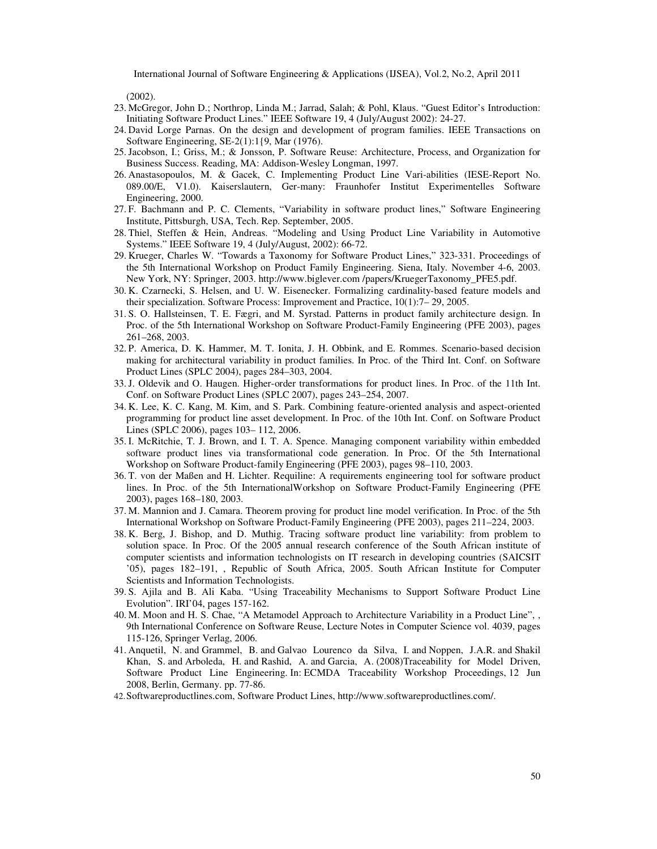$(2002)$ .

- 23. McGregor, John D.; Northrop, Linda M.; Jarrad, Salah; & Pohl, Klaus. "Guest Editor's Introduction: Initiating Software Product Lines." IEEE Software 19, 4 (July/August 2002): 24-27.
- 24. David Lorge Parnas. On the design and development of program families. IEEE Transactions on Software Engineering, SE-2(1):1{9, Mar (1976).
- 25.Jacobson, I.; Griss, M.; & Jonsson, P. Software Reuse: Architecture, Process, and Organization for Business Success. Reading, MA: Addison-Wesley Longman, 1997.
- 26. Anastasopoulos, M. & Gacek, C. Implementing Product Line Vari-abilities (IESE-Report No. 089.00/E, V1.0). Kaiserslautern, Ger-many: Fraunhofer Institut Experimentelles Software Engineering, 2000.
- 27. F. Bachmann and P. C. Clements, "Variability in software product lines," Software Engineering Institute, Pittsburgh, USA, Tech. Rep. September, 2005.
- 28. Thiel, Steffen & Hein, Andreas. "Modeling and Using Product Line Variability in Automotive Systems." IEEE Software 19, 4 (July/August, 2002): 66-72.
- 29. Krueger, Charles W. "Towards a Taxonomy for Software Product Lines," 323-331. Proceedings of the 5th International Workshop on Product Family Engineering. Siena, Italy. November 4-6, 2003. New York, NY: Springer, 2003. http://www.biglever.com /papers/KruegerTaxonomy\_PFE5.pdf.
- 30. K. Czarnecki, S. Helsen, and U. W. Eisenecker. Formalizing cardinality-based feature models and their specialization. Software Process: Improvement and Practice, 10(1):7– 29, 2005.
- 31. S. O. Hallsteinsen, T. E. Fægri, and M. Syrstad. Patterns in product family architecture design. In Proc. of the 5th International Workshop on Software Product-Family Engineering (PFE 2003), pages 261–268, 2003.
- 32. P. America, D. K. Hammer, M. T. Ionita, J. H. Obbink, and E. Rommes. Scenario-based decision making for architectural variability in product families. In Proc. of the Third Int. Conf. on Software Product Lines (SPLC 2004), pages 284–303, 2004.
- 33.J. Oldevik and O. Haugen. Higher-order transformations for product lines. In Proc. of the 11th Int. Conf. on Software Product Lines (SPLC 2007), pages 243–254, 2007.
- 34. K. Lee, K. C. Kang, M. Kim, and S. Park. Combining feature-oriented analysis and aspect-oriented programming for product line asset development. In Proc. of the 10th Int. Conf. on Software Product Lines (SPLC 2006), pages 103– 112, 2006.
- 35. I. McRitchie, T. J. Brown, and I. T. A. Spence. Managing component variability within embedded software product lines via transformational code generation. In Proc. Of the 5th International Workshop on Software Product-family Engineering (PFE 2003), pages 98–110, 2003.
- 36. T. von der Maßen and H. Lichter. Requiline: A requirements engineering tool for software product lines. In Proc. of the 5th InternationalWorkshop on Software Product-Family Engineering (PFE 2003), pages 168–180, 2003.
- 37. M. Mannion and J. Camara. Theorem proving for product line model verification. In Proc. of the 5th International Workshop on Software Product-Family Engineering (PFE 2003), pages 211–224, 2003.
- 38. K. Berg, J. Bishop, and D. Muthig. Tracing software product line variability: from problem to solution space. In Proc. Of the 2005 annual research conference of the South African institute of computer scientists and information technologists on IT research in developing countries (SAICSIT '05), pages 182–191, , Republic of South Africa, 2005. South African Institute for Computer Scientists and Information Technologists.
- 39. S. Ajila and B. Ali Kaba. "Using Traceability Mechanisms to Support Software Product Line Evolution". IRI'04, pages 157-162.
- 40. M. Moon and H. S. Chae, "A Metamodel Approach to Architecture Variability in a Product Line", , 9th International Conference on Software Reuse, Lecture Notes in Computer Science vol. 4039, pages 115-126, Springer Verlag, 2006.
- 41. Anquetil, N. and Grammel, B. and Galvao Lourenco da Silva, I. and Noppen, J.A.R. and Shakil Khan, S. and Arboleda, H. and Rashid, A. and Garcia, A. (2008)Traceability for Model Driven, Software Product Line Engineering. In: ECMDA Traceability Workshop Proceedings, 12 Jun 2008, Berlin, Germany. pp. 77-86.
- 42.Softwareproductlines.com, Software Product Lines, http://www.softwareproductlines.com/.